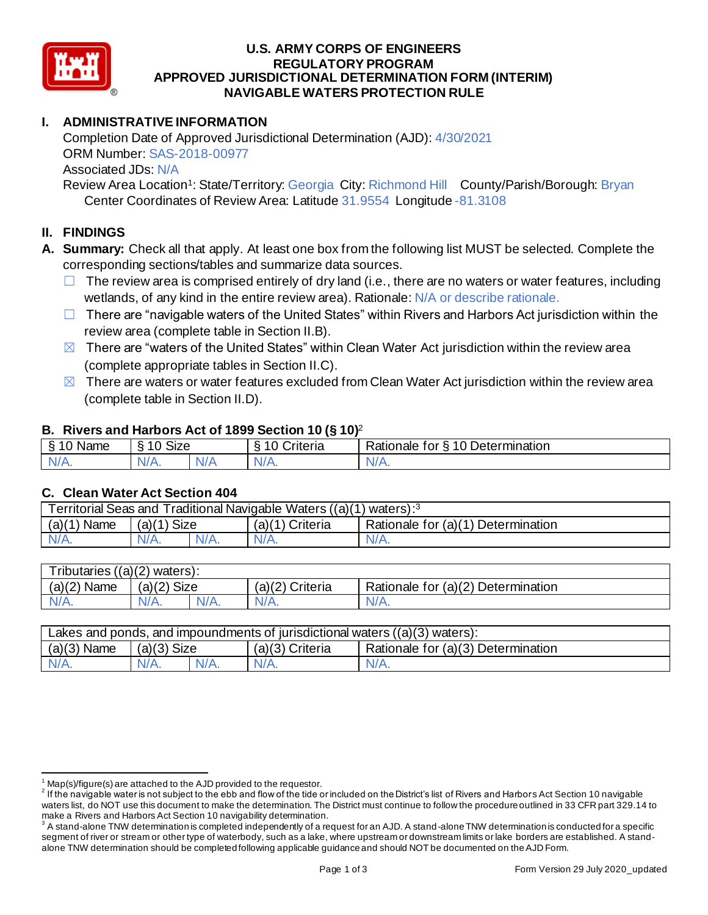

### **U.S. ARMY CORPS OF ENGINEERS APPROVED JURISDICTIONAL DETERMINATION FORM (INTERIM) NAVIGABLE WATERS PROTECTION RULE REGULATORY PROGRAM**

# **I. ADMINISTRATIVE INFORMATION**

 Completion Date of Approved Jurisdictional Determination (AJD): 4/30/2021 ORM Number: SAS-2018-00977 Associated JDs: N/A

Review Area Location<sup>1</sup>: State/Territory: Georgia City: Richmond Hill County/Parish/Borough: Bryan Center Coordinates of Review Area: Latitude 31.9554 Longitude -81.3108

# **II. FINDINGS**

- **A. Summary:** Check all that apply. At least one box from the following list MUST be selected. Complete the corresponding sections/tables and summarize data sources.
	- $\Box$  The review area is comprised entirely of dry land (i.e., there are no waters or water features, including wetlands, of any kind in the entire review area). Rationale: N/A or describe rationale.
	- □ There are "navigable waters of the United States" within Rivers and Harbors Act jurisdiction within the review area (complete table in Section II.B).
	- $\boxtimes$  There are "waters of the United States" within Clean Water Act jurisdiction within the review area (complete appropriate tables in Section II.C).
	- $\boxtimes$  There are waters or water features excluded from Clean Water Act jurisdiction within the review area (complete table in Section II.D).

## **B. Rivers and Harbors Act of 1899 Section 10 (§ 10)**<sup>2</sup>

|                     |                                        |     | $\cdot$            |                                           |
|---------------------|----------------------------------------|-----|--------------------|-------------------------------------------|
| ደ 1 በ<br>Name       | $\sim$ $\sim$ $\sim$<br>$\sim$<br>ט∠וכ |     | ∶rıteria           | 10 Determination<br>Rationale<br>tor<br>↷ |
| N/L<br>$\mathbf{N}$ | $1/\Lambda$<br>V/A.                    | V/t | N.<br>$\mathbf{v}$ | N.<br>11 L L                              |
|                     |                                        |     |                    |                                           |

## **C. Clean Water Act Section 404**

| (a)(1)<br>$(a)(1)$ Size<br>Name<br>$(a)(1)$ Criteria<br>Rationale for (a)(1) Determination |         |         |         | Territorial Seas and Traditional Navigable Waters ((a)(1) waters): <sup>3</sup> |         |
|--------------------------------------------------------------------------------------------|---------|---------|---------|---------------------------------------------------------------------------------|---------|
|                                                                                            |         |         |         |                                                                                 |         |
|                                                                                            | $N/A$ . | $N/A$ . | $N/A$ . | $N/A$ .                                                                         | $N/A$ . |

| <b>Tributaries</b> | $\frac{1}{(a)(2)}$ waters): |         |                    |                                    |
|--------------------|-----------------------------|---------|--------------------|------------------------------------|
| (a)(2)<br>Name     | Size<br>(a)(2)              |         | (a)(2)<br>Criteria | Rationale for (a)(2) Determination |
| $N/A$ .            | $N/A$ .                     | $N/A$ . | N/A.               | $N/A$ .                            |
|                    |                             |         |                    |                                    |

|                                                     | Lakes and ponds, and impoundments of jurisdictional waters $((a)(3)$ waters): |  |  |  |  |
|-----------------------------------------------------|-------------------------------------------------------------------------------|--|--|--|--|
| $(a)(3)$ Name<br>$(a)(3)$ Size<br>$(a)(3)$ Criteria | Rationale for (a)(3) Determination                                            |  |  |  |  |
| $N/A$ .<br>$N/A$ .<br>$N/A$ .<br>$N/A$ .            |                                                                               |  |  |  |  |

 $1$  Map(s)/figure(s) are attached to the AJD provided to the requestor.

 $^2$  If the navigable water is not subject to the ebb and flow of the tide or included on the District's list of Rivers and Harbors Act Section 10 navigable waters list, do NOT use this document to make the determination. The District must continue to follow the procedure outlined in 33 CFR part 329.14 to make a Rivers and Harbors Act Section 10 navigability determination.

 $^3$  A stand-alone TNW determination is completed independently of a request for an AJD. A stand-alone TNW determination is conducted for a specific segment of river or stream or other type of waterbody, such as a lake, where upstream or downstream limits or lake borders are established. A stand-alone TNW determination should be completed following applicable guidance and should NOT be documented on the AJD Form.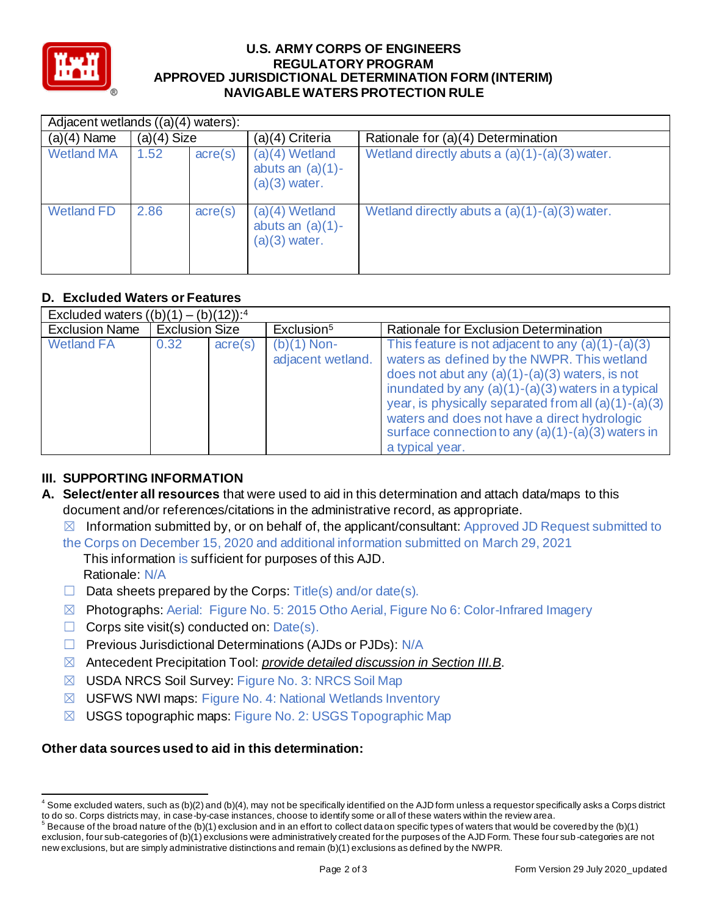

#### **U.S. ARMY CORPS OF ENGINEERS APPROVED JURISDICTIONAL DETERMINATION FORM (INTERIM) NAVIGABLE WATERS PROTECTION RULE REGULATORY PROGRAM**

| Adjacent wetlands $((a)(4)$ waters): |               |                  |                                                            |                                                 |
|--------------------------------------|---------------|------------------|------------------------------------------------------------|-------------------------------------------------|
| $(a)(4)$ Name                        | $(a)(4)$ Size |                  | (a)(4) Criteria                                            | Rationale for (a)(4) Determination              |
| <b>Wetland MA</b>                    | 1.52          | $\text{acre}(s)$ | $(a)(4)$ Wetland<br>abuts an $(a)(1)$ -<br>$(a)(3)$ water. | Wetland directly abuts a $(a)(1)-(a)(3)$ water. |
| <b>Wetland FD</b>                    | 2.86          | $\text{acre}(s)$ | $(a)(4)$ Wetland<br>abuts an $(a)(1)$ -<br>$(a)(3)$ water. | Wetland directly abuts a $(a)(1)-(a)(3)$ water. |

# **D. Excluded Waters or Features**

| <b>D. Excluded Waters or Features</b>               |                       |                  |                                    |                                                                                                                                                                                                                                                                                                                                                                                                    |
|-----------------------------------------------------|-----------------------|------------------|------------------------------------|----------------------------------------------------------------------------------------------------------------------------------------------------------------------------------------------------------------------------------------------------------------------------------------------------------------------------------------------------------------------------------------------------|
| Excluded waters $((b)(1) - (b)(12))$ : <sup>4</sup> |                       |                  |                                    |                                                                                                                                                                                                                                                                                                                                                                                                    |
| <b>Exclusion Name</b>                               | <b>Exclusion Size</b> |                  | Exclusion <sup>5</sup>             | Rationale for Exclusion Determination                                                                                                                                                                                                                                                                                                                                                              |
| <b>Wetland FA</b>                                   | 0.32                  | $\text{acre}(s)$ | $(b)(1)$ Non-<br>adjacent wetland. | This feature is not adjacent to any $(a)(1)-(a)(3)$<br>waters as defined by the NWPR. This wetland<br>does not abut any $(a)(1)-(a)(3)$ waters, is not<br>inundated by any $(a)(1)-(a)(3)$ waters in a typical<br>year, is physically separated from all $(a)(1)-(a)(3)$<br>waters and does not have a direct hydrologic<br>surface connection to any $(a)(1)-(a)(3)$ waters in<br>a typical year. |

# **III. SUPPORTING INFORMATION**

- **A. Select/enter all resources** that were used to aid in this determination and attach data/maps to this document and/or references/citations in the administrative record, as appropriate.
	- $\boxtimes$  Information submitted by, or on behalf of, the applicant/consultant: Approved JD Request submitted to
	- the Corps on December 15, 2020 and additional information submitted on March 29, 2021 This information is sufficient for purposes of this AJD. Rationale: N/A
	- $\Box$  Data sheets prepared by the Corps: Title(s) and/or date(s).
	- ☒ Photographs: Aerial: Figure No. 5: 2015 Otho Aerial, Figure No 6: Color-Infrared Imagery
	- $\Box$  Corps site visit(s) conducted on:  $Date(s)$ .
	- □ Previous Jurisdictional Determinations (AJDs or PJDs): N/A
	- ☒ Antecedent Precipitation Tool: *provide detailed discussion in Section III.B*.
	- ☒ USDA NRCS Soil Survey: Figure No. 3: NRCS Soil Map
	- ☒ USFWS NWI maps: Figure No. 4: National Wetlands Inventory
	- ☒ USGS topographic maps: Figure No. 2: USGS Topographic Map

# **Other data sources used to aid in this determination:**

 $^4$  Some excluded waters, such as (b)(2) and (b)(4), may not be specifically identified on the AJD form unless a requestor specifically asks a Corps district to do so. Corps districts may, in case-by-case instances, choose to identify some or all of these waters within the review area.

to do so. Corps districts may, in case-by-case instances, choose to identify some or all of these waters within the review area.<br><sup>5</sup> Because of the broad nature of the (b)(1) exclusion and in an effort to collect dataon sp exclusion, four sub-categories of (b)(1) exclusions were administratively created for the purposes of the AJD Form. These four sub -categories are not new exclusions, but are simply administrative distinctions and remain (b)(1) exclusions as defined by the NWPR.